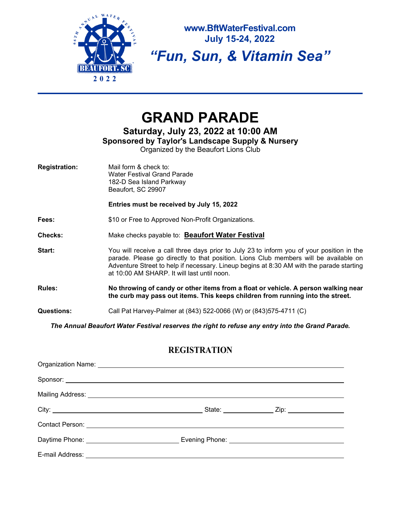

**www.BftWaterFestival.com July 15-24, 2022** 

*"Fun, Sun, & Vitamin Sea"* 

# **GRAND PARADE**

**Saturday, July 23, 2022 at 10:00 AM**

**Sponsored by Taylor's Landscape Supply & Nursery**

Organized by the Beaufort Lions Club

| <b>Registration:</b> | Mail form & check to:<br>Water Festival Grand Parade<br>182-D Sea Island Parkway<br>Beaufort, SC 29907                                                                                                                                                                                                                       |
|----------------------|------------------------------------------------------------------------------------------------------------------------------------------------------------------------------------------------------------------------------------------------------------------------------------------------------------------------------|
|                      | Entries must be received by July 15, 2022                                                                                                                                                                                                                                                                                    |
| Fees:                | \$10 or Free to Approved Non-Profit Organizations.                                                                                                                                                                                                                                                                           |
| <b>Checks:</b>       | Make checks payable to: Beaufort Water Festival                                                                                                                                                                                                                                                                              |
| Start:               | You will receive a call three days prior to July 23 to inform you of your position in the<br>parade. Please go directly to that position. Lions Club members will be available on<br>Adventure Street to help if necessary. Lineup begins at 8:30 AM with the parade starting<br>at 10:00 AM SHARP. It will last until noon. |
| Rules:               | No throwing of candy or other items from a float or vehicle. A person walking near<br>the curb may pass out items. This keeps children from running into the street.                                                                                                                                                         |
| <b>Questions:</b>    | Call Pat Harvey-Palmer at (843) 522-0066 (W) or (843) 575-4711 (C)                                                                                                                                                                                                                                                           |

*The Annual Beaufort Water Festival reserves the right to refuse any entry into the Grand Parade.*

## **REGISTRATION**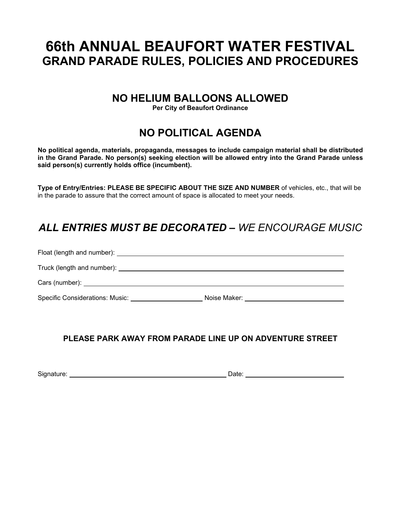# **66th ANNUAL BEAUFORT WATER FESTIVAL GRAND PARADE RULES, POLICIES AND PROCEDURES**

## **NO HELIUM BALLOONS ALLOWED**

**Per City of Beaufort Ordinance**

# **NO POLITICAL AGENDA**

**No political agenda, materials, propaganda, messages to include campaign material shall be distributed in the Grand Parade. No person(s) seeking election will be allowed entry into the Grand Parade unless said person(s) currently holds office (incumbent).**

**Type of Entry/Entries: PLEASE BE SPECIFIC ABOUT THE SIZE AND NUMBER** of vehicles, etc., that will be in the parade to assure that the correct amount of space is allocated to meet your needs.

# *ALL ENTRIES MUST BE DECORATED – WE ENCOURAGE MUSIC*

| Cars (number): example and the set of the set of the set of the set of the set of the set of the set of the set of the set of the set of the set of the set of the set of the set of the set of the set of the set of the set |                                            |
|-------------------------------------------------------------------------------------------------------------------------------------------------------------------------------------------------------------------------------|--------------------------------------------|
| Specific Considerations: Music:                                                                                                                                                                                               | Noise Maker: <u>______________________</u> |

## **PLEASE PARK AWAY FROM PARADE LINE UP ON ADVENTURE STREET**

Signature: Date: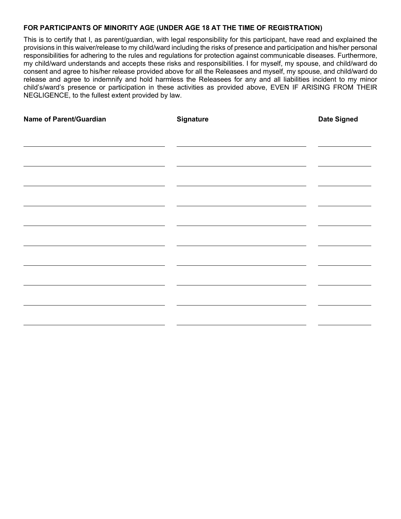### **FOR PARTICIPANTS OF MINORITY AGE (UNDER AGE 18 AT THE TIME OF REGISTRATION)**

This is to certify that I, as parent/guardian, with legal responsibility for this participant, have read and explained the provisions in this waiver/release to my child/ward including the risks of presence and participation and his/her personal responsibilities for adhering to the rules and regulations for protection against communicable diseases. Furthermore, my child/ward understands and accepts these risks and responsibilities. I for myself, my spouse, and child/ward do consent and agree to his/her release provided above for all the Releasees and myself, my spouse, and child/ward do release and agree to indemnify and hold harmless the Releasees for any and all liabilities incident to my minor child's/ward's presence or participation in these activities as provided above, EVEN IF ARISING FROM THEIR NEGLIGENCE, to the fullest extent provided by law.

| Name of Parent/Guardian | <b>Signature</b> | <b>Date Signed</b> |
|-------------------------|------------------|--------------------|
|                         |                  |                    |
|                         |                  |                    |
|                         |                  |                    |
|                         |                  |                    |
|                         |                  |                    |
|                         |                  |                    |
|                         |                  |                    |
|                         |                  |                    |
|                         |                  |                    |
|                         |                  |                    |
|                         |                  |                    |
|                         |                  |                    |
|                         |                  |                    |
|                         |                  |                    |
|                         |                  |                    |
|                         |                  |                    |
|                         |                  |                    |
|                         |                  |                    |
|                         |                  |                    |
|                         |                  |                    |